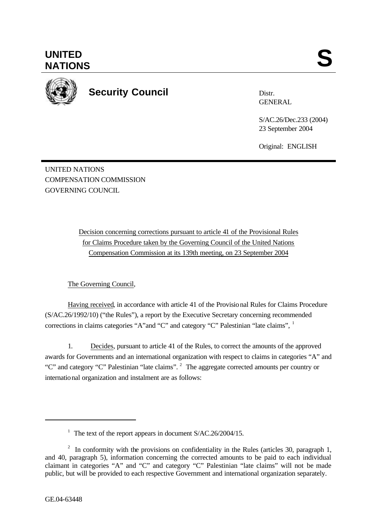

**Security Council**

Distr. **GENERAL** 

S/AC.26/Dec.233 (2004) 23 September 2004

Original: ENGLISH

UNITED NATIONS COMPENSATION COMMISSION GOVERNING COUNCIL

> Decision concerning corrections pursuant to article 41 of the Provisional Rules for Claims Procedure taken by the Governing Council of the United Nations Compensation Commission at its 139th meeting, on 23 September 2004

The Governing Council,

Having received, in accordance with article 41 of the Provisional Rules for Claims Procedure (S/AC.26/1992/10) ("the Rules"), a report by the Executive Secretary concerning recommended corrections in claims categories "A"and "C" and category "C" Palestinian "late claims", <sup>1</sup>

1. Decides, pursuant to article 41 of the Rules, to correct the amounts of the approved awards for Governments and an international organization with respect to claims in categories "A" and "C" and category "C" Palestinian "late claims". <sup>2</sup> The aggregate corrected amounts per country or international organization and instalment are as follows:

l

<sup>&</sup>lt;sup>1</sup> The text of the report appears in document S/AC.26/2004/15.

<sup>&</sup>lt;sup>2</sup> In conformity with the provisions on confidentiality in the Rules (articles 30, paragraph 1, and 40, paragraph 5), information concerning the corrected amounts to be paid to each individual claimant in categories "A" and "C" and category "C" Palestinian "late claims" will not be made public, but will be provided to each respective Government and international organization separately.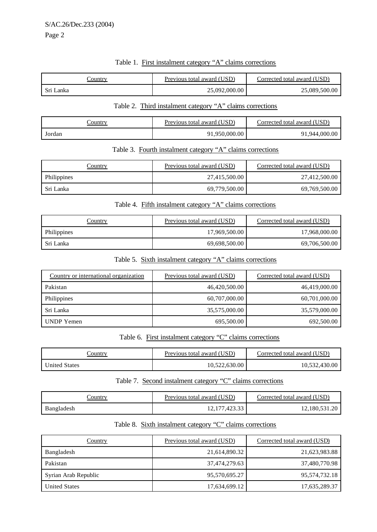### Table 1. First instalment category "A" claims corrections

| _'ountry  | Previous total award (USD) | Corrected total award (USD) |
|-----------|----------------------------|-----------------------------|
| Sri Lanka | 25,092,000.00              | 25,089,500.00               |

### Table 2. Third instalment category "A" claims corrections

| `ountry | Previous total award (USD) | Corrected total award (USD) |
|---------|----------------------------|-----------------------------|
| Jordan  | 91,950,000.00              | 91,944,000.00               |

#### Table 3. Fourth instalment category "A" claims corrections

| Country     | Previous total award (USD) | Corrected total award (USD) |
|-------------|----------------------------|-----------------------------|
| Philippines | 27,415,500.00              | 27,412,500.00               |
| Sri Lanka   | 69,779,500.00              | 69,769,500.00               |

# Table 4. Fifth instalment category "A" claims corrections

| Country     | Previous total award (USD) | Corrected total award (USD) |
|-------------|----------------------------|-----------------------------|
| Philippines | 17,969,500.00              | 17,968,000.00               |
| -Sri Lanka  | 69,698,500.00              | 69,706,500.00               |

## Table 5. Sixth instalment category "A" claims corrections

| Country or international organization | Previous total award (USD) | Corrected total award (USD) |
|---------------------------------------|----------------------------|-----------------------------|
| Pakistan                              | 46,420,500.00              | 46,419,000.00               |
| Philippines                           | 60,707,000.00              | 60,701,000.00               |
| Sri Lanka                             | 35,575,000.00              | 35,579,000.00               |
| UNDP Yemen                            | 695,500.00                 | 692,500.00                  |

# Table 6. First instalment category "C" claims corrections

| `ountry              | Previous total award (USD) | Corrected total award (USD) |
|----------------------|----------------------------|-----------------------------|
| <b>United States</b> | 10,522,630.00              | 10,532,430.00               |

## Table 7. Second instalment category "C" claims corrections

| <u>ountry</u> | Previous total award (USD) | Corrected total award (USD) |
|---------------|----------------------------|-----------------------------|
| Bangladesh    | 12, 177, 423.33            | 12,180,531.20               |

## Table 8. Sixth instalment category "C" claims corrections

| Country              | Previous total award (USD) | Corrected total award (USD) |
|----------------------|----------------------------|-----------------------------|
| Bangladesh           | 21,614,890.32              | 21,623,983.88               |
| Pakistan             | 37,474,279.63              | 37,480,770.98               |
| Syrian Arab Republic | 95,570,695.27              | 95,574,732.18               |
| <b>United States</b> | 17,634,699.12              | 17,635,289.37               |